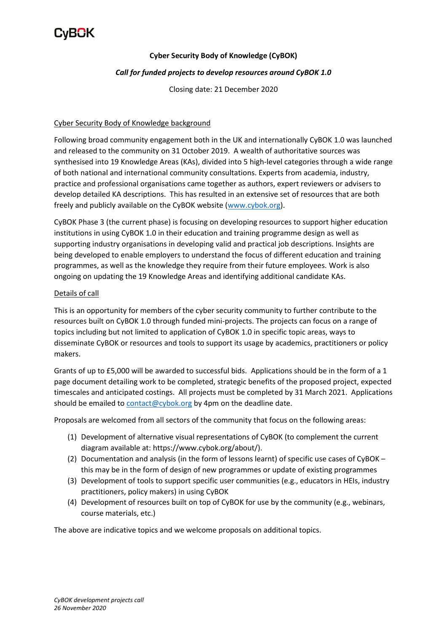

## **Cyber Security Body of Knowledge (CyBOK)**

### *Call for funded projects to develop resources around CyBOK 1.0*

Closing date: 21 December 2020

#### Cyber Security Body of Knowledge background

Following broad community engagement both in the UK and internationally CyBOK 1.0 was launched and released to the community on 31 October 2019. A wealth of authoritative sources was synthesised into 19 Knowledge Areas (KAs), divided into 5 high-level categories through a wide range of both national and international community consultations. Experts from academia, industry, practice and professional organisations came together as authors, expert reviewers or advisers to develop detailed KA descriptions. This has resulted in an extensive set of resources that are both freely and publicly available on the CyBOK website [\(www.cybok.org\)](http://www.cybok.org/).

CyBOK Phase 3 (the current phase) is focusing on developing resources to support higher education institutions in using CyBOK 1.0 in their education and training programme design as well as supporting industry organisations in developing valid and practical job descriptions. Insights are being developed to enable employers to understand the focus of different education and training programmes, as well as the knowledge they require from their future employees. Work is also ongoing on updating the 19 Knowledge Areas and identifying additional candidate KAs.

### Details of call

This is an opportunity for members of the cyber security community to further contribute to the resources built on CyBOK 1.0 through funded mini-projects. The projects can focus on a range of topics including but not limited to application of CyBOK 1.0 in specific topic areas, ways to disseminate CyBOK or resources and tools to support its usage by academics, practitioners or policy makers.

Grants of up to £5,000 will be awarded to successful bids. Applications should be in the form of a 1 page document detailing work to be completed, strategic benefits of the proposed project, expected timescales and anticipated costings. All projects must be completed by 31 March 2021. Applications should be emailed t[o contact@cybok.org](mailto:contact@cybok.org) by 4pm on the deadline date.

Proposals are welcomed from all sectors of the community that focus on the following areas:

- (1) Development of alternative visual representations of CyBOK (to complement the current diagram available at: https://www.cybok.org/about/).
- (2) Documentation and analysis (in the form of lessons learnt) of specific use cases of CyBOK this may be in the form of design of new programmes or update of existing programmes
- (3) Development of tools to support specific user communities (e.g., educators in HEIs, industry practitioners, policy makers) in using CyBOK
- (4) Development of resources built on top of CyBOK for use by the community (e.g., webinars, course materials, etc.)

The above are indicative topics and we welcome proposals on additional topics.